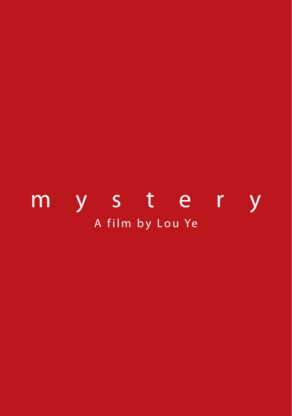# A film by Lou Ye mystery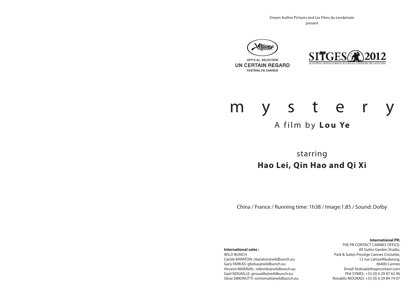Dream Author Pictures and Les Films du Lendemain present





# mystery

### A film by **Lo u Ye**

starring **Hao Lei, Qin Hao and Qi Xi**

China / France / Running time: 1h38 / Image:1.85 / Sound: Dolby

**International sales :** 

WILD BUNCH Carole BARATON: cbaraton@wildbunch.eu Gary FARKAS: gfarkas@wildbunch.eu Vincent MARAVAL: ndevide@wildbunch.eu Gael NOUAILLE: gnouaille@wildbunch.eu Silvia SIMONUTTI: ssimonutti@wildbunch.eu

**International PR:** THE PR CONTACT CANNES OFFICE:

All Suites Garden Studio, Park & Suites Prestige Cannes Croisette, 12 rue LatourMaubourg, 06400 Cannes Email: festival@theprcontact.com Phil SYMES: +33 (0) 6 29 87 62 96 Ronaldo MOURAO: +33 (0) 6 29 84 74 07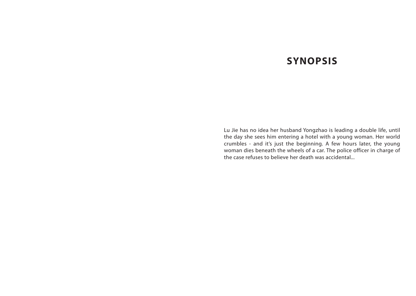### **SYNOPSIS**

Lu Jie has no idea her husband Yongzhao is leading a double life, until the day she sees him entering a hotel with a young woman. Her world crumbles - and it's just the beginning. A few hours later, the young woman dies beneath the wheels of a car. The police officer in charge of the case refuses to believe her death was accidental...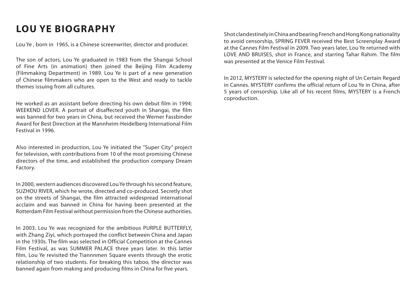## **LOU YE BIOGRAPHY**

Lou Ye , born in 1965, is a Chinese screenwriter, director and producer.

The son of actors, Lou Ye graduated in 1983 from the Shangai School of Fine Arts (in animation) then joined the Beijing Film Academy (Filmmaking Department) in 1989. Lou Ye is part of a new generation of Chinese filmmakers who are open to the West and ready to tackle themes issuing from all cultures.

He worked as an assistant before directing his own debut film in 1994: WEEKEND LOVER. A portrait of disaffected youth in Shangai, the film was banned for two years in China, but received the Werner Fassbinder Award for Best Direction at the Mannheim-Heidelberg International Film Festival in 1996.

Also interested in production, Lou Ye initiated the "Super City" project for television, with contributions from 10 of the most promising Chinese directors of the time, and established the production company Dream Factory.

In 2000, western audiences discovered Lou Ye through his second feature, SUZHOU RIVER, which he wrote, directed and co-produced. Secretly shot on the streets of Shangai, the film attracted widespread international acclaim and was banned in China for having been presented at the Rotterdam Film Festival without permission from the Chinese authorities.

In 2003, Lou Ye was recognized for the ambitious PURPLE BUTTERFLY, with Zhang Ziyi, which portrayed the conflict between China and Japan in the 1930s. The film was selected in Official Competition at the Cannes Film Festival, as was SUMMER PALACE three years later. In this latter film, Lou Ye revisited the Tiannnmen Square events through the erotic relationship of two students. For breaking this taboo, the director was banned again from making and producing films in China for five years.

Shot clandestinely in China and bearing French and Hong Kong nationality to avoid censorship, SPRING FEVER received the Best Screenplay Award at the Cannes Film Festival in 2009. Two years later, Lou Ye returned with LOVE AND BRUISES, shot in France, and starring Tahar Rahim. The film was presented at the Venice Film Festival.

In 2012, MYSTERY is selected for the opening night of Un Certain Regard in Cannes. MYSTERY confirms the official return of Lou Ye in China, after 5 years of censorship. Like all of his recent films, MYSTERY is a French coproduction.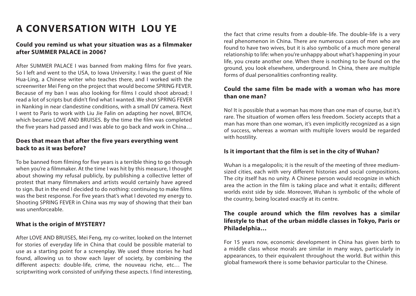## **A CONVERSATION WITH LOU YE**

#### **Could you remind us what your situation was as a filmmaker after SUMMER PALACE in 2006?**

After SUMMER PALACE I was banned from making films for five years. So I left and went to the USA, to Iowa University. I was the guest of Nie Hua-Ling, a Chinese writer who teaches there, and I worked with the screenwriter Mei Feng on the project that would become SPRING FEVER. Because of my ban I was also looking for films I could shoot abroad; I read a lot of scripts but didn't find what I wanted. We shot SPRING FEVER in Nanking in near clandestine conditions, with a small DV camera. Next I went to Paris to work with Liu Jie Falin on adapting her novel, BITCH, which became LOVE AND BRUISES. By the time the film was completed the five years had passed and I was able to go back and work in China…

#### **Does that mean that after the five years everything went back to as it was before?**

To be banned from filming for five years is a terrible thing to go through when you're a filmmaker. At the time I was hit by this measure, I thought about showing my refusal publicly, by publishing a collective letter of protest that many filmmakers and artists would certainly have agreed to sign. But in the end I decided to do nothing: continuing to make films was the best response. For five years that's what I devoted my energy to. Shooting SPRING FEVER in China was my way of showing that their ban was unenforceable.

#### **What is the origin of MYSTERY?**

After LOVE AND BRUISES, Mei Feng, my co-writer, looked on the Internet for stories of everyday life in China that could be possible material to use as a starting point for a screenplay. We used three stories he had found, allowing us to show each layer of society, by combining the different aspects: double-life, crime, the nouveau riche, etc… The scriptwriting work consisted of unifying these aspects. I find interesting,

the fact that crime results from a double-life. The double-life is a very real phenomenon in China. There are numerous cases of men who are found to have two wives, but it is also symbolic of a much more general relationship to life: when you're unhappy about what's happening in your life, you create another one. When there is nothing to be found on the ground, you look elsewhere, underground. In China, there are multiple forms of dual personalities confronting reality.

#### **Could the same film be made with a woman who has more than one man?**

No! It is possible that a woman has more than one man of course, but it's rare. The situation of women offers less freedom. Society accepts that a man has more than one woman, it's even implicitly recognized as a sign of success, whereas a woman with multiple lovers would be regarded with hostility.

#### **Is it important that the film is set in the city of Wuhan?**

Wuhan is a megalopolis; it is the result of the meeting of three mediumsized cities, each with very different histories and social compositions. The city itself has no unity. A Chinese person would recognize in which area the action in the film is taking place and what it entails; different worlds exist side by side. Moreover, Wuhan is symbolic of the whole of the country, being located exactly at its centre.

#### **The couple around which the film revolves has a similar lifestyle to that of the urban middle classes in Tokyo, Paris or Philadelphia…**

For 15 years now, economic development in China has given birth to a middle class whose morals are similar in many ways, particularly in appearances, to their equivalent throughout the world. But within this global framework there is some behavior particular to the Chinese.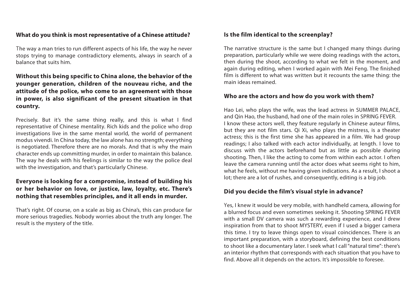#### **What do you think is most representative of a Chinese attitude?**

The way a man tries to run different aspects of his life, the way he never stops trying to manage contradictory elements, always in search of a balance that suits him.

#### **Without this being specific to China alone, the behavior of the younger generation, children of the nouveau riche, and the attitude of the police, who come to an agreement with those in power, is also significant of the present situation in that country.**

Precisely. But it's the same thing really, and this is what I find representative of Chinese mentality. Rich kids and the police who drop investigations live in the same mental world, the world of permanent modus vivendi. In China today, the law alone has no strength; everything is negotiated. Therefore there are no morals. And that is why the main character ends up committing murder, in order to maintain this balance. The way he deals with his feelings is similar to the way the police deal with the investigation, and that's particularly Chinese.

#### **Everyone is looking for a compromise, instead of building his or her behavior on love, or justice, law, loyalty, etc. There's nothing that resembles principles, and it all ends in murder.**

That's right. Of course, on a scale as big as China's, this can produce far more serious tragedies. Nobody worries about the truth any longer. The result is the mystery of the title.

#### **Is the film identical to the screenplay?**

The narrative structure is the same but I changed many things during preparation, particularly while we were doing readings with the actors, then during the shoot, according to what we felt in the moment, and again during editing, when I worked again with Mei Feng. The finished film is different to what was written but it recounts the same thing: the main ideas remained.

#### **Who are the actors and how do you work with them?**

Hao Lei, who plays the wife, was the lead actress in SUMMER PALACE, and Qin Hao, the husband, had one of the main roles in SPRING FEVER. I know these actors well, they feature regularly in Chinese auteur films, but they are not film stars. Qi Xi, who plays the mistress, is a theater actress; this is the first time she has appeared in a film. We had group readings; I also talked with each actor individually, at length. I love to discuss with the actors beforehand but as little as possible during shooting. Then, I like the acting to come from within each actor. I often leave the camera running until the actor does what seems right to him, what he feels, without me having given indications. As a result, I shoot a lot; there are a lot of rushes, and consequently, editing is a big job.

#### **Did you decide the film's visual style in advance?**

Yes, I knew it would be very mobile, with handheld camera, allowing for a blurred focus and even sometimes seeking it. Shooting SPRING FEVER with a small DV camera was such a rewarding experience, and I drew inspiration from that to shoot MYSTERY, even if I used a bigger camera this time. I try to leave things open to visual coincidences. There is an important preparation, with a storyboard, defining the best conditions to shoot like a documentary later. I seek what I call "natural time": there's an interior rhythm that corresponds with each situation that you have to find. Above all it depends on the actors. It's impossible to foresee.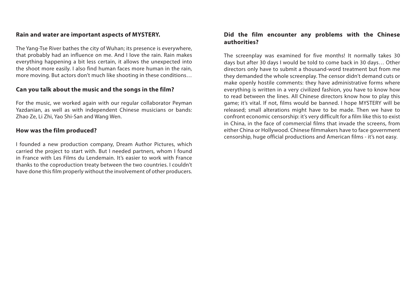#### **Rain and water are important aspects of MYSTERY.**

The Yang-Tse River bathes the city of Wuhan; its presence is everywhere, that probably had an influence on me. And I love the rain. Rain makes everything happening a bit less certain, it allows the unexpected into the shoot more easily. I also find human faces more human in the rain, more moving. But actors don't much like shooting in these conditions…

#### **Can you talk about the music and the songs in the film?**

For the music, we worked again with our regular collaborator Peyman Yazdanian, as well as with independent Chinese musicians or bands: Zhao Ze, Li Zhi, Yao Shi-San and Wang Wen.

#### **How was the film produced?**

I founded a new production company, Dream Author Pictures, which carried the project to start with. But I needed partners, whom I found in France with Les Films du Lendemain. It's easier to work with France thanks to the coproduction treaty between the two countries. I couldn't have done this film properly without the involvement of other producers.

#### **Did the film encounter any problems with the Chinese authorities?**

The screenplay was examined for five months! It normally takes 30 days but after 30 days I would be told to come back in 30 days… Other directors only have to submit a thousand-word treatment but from me they demanded the whole screenplay. The censor didn't demand cuts or make openly hostile comments: they have administrative forms where everything is written in a very civilized fashion, you have to know how to read between the lines. All Chinese directors know how to play this game; it's vital. If not, films would be banned. I hope MYSTERY will be released; small alterations might have to be made. Then we have to confront economic censorship: it's very difficult for a film like this to exist in China, in the face of commercial films that invade the screens, from either China or Hollywood. Chinese filmmakers have to face government censorship, huge official productions and American films - it's not easy.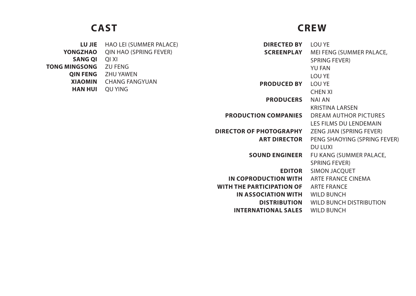### **CAST CREW**

| <b>LU JIE</b>        | HAO LEI (SUMMER PALACE)       | <b>DIRECTED BY</b>               | LOU YE                       |
|----------------------|-------------------------------|----------------------------------|------------------------------|
| <b>YONGZHAO</b>      | <b>QIN HAO (SPRING FEVER)</b> | <b>SCREENPLAY</b>                | MEI FENG (SUMMER PALACE,     |
| <b>SANG QI</b>       | QI XI                         |                                  | SPRING FEVER)                |
| <b>TONG MINGSONG</b> | ZU FENG                       |                                  | <b>YU FAN</b>                |
| <b>QIN FENG</b>      | ZHU YAWEN                     |                                  | LOU YE                       |
| <b>XIAOMIN</b>       | CHANG FANGYUAN                | <b>PRODUCED BY</b>               | LOU YE                       |
| <b>HAN HUI</b>       | QU YING                       |                                  | <b>CHEN XI</b>               |
|                      |                               | <b>PRODUCERS</b>                 | NAI AN                       |
|                      |                               |                                  | <b>KRISTINA LARSEN</b>       |
|                      |                               | <b>PRODUCTION COMPANIES</b>      | DREAM AUTHOR PICTURES        |
|                      |                               |                                  | LES FILMS DU LENDEMAIN       |
|                      |                               | <b>DIRECTOR OF PHOTOGRAPHY</b>   | ZENG JIAN (SPRING FEVER)     |
|                      |                               | <b>ART DIRECTOR</b>              | PENG SHAOYING (SPRING FEVER) |
|                      |                               |                                  | DU LUXI                      |
|                      |                               | <b>SOUND ENGINEER</b>            | FU KANG (SUMMER PALACE,      |
|                      |                               |                                  | <b>SPRING FEVER)</b>         |
|                      |                               | <b>EDITOR</b>                    | SIMON JACQUET                |
|                      |                               | IN COPRODUCTION WITH             | ARTE FRANCE CINEMA           |
|                      |                               | <b>WITH THE PARTICIPATION OF</b> | <b>ARTE FRANCE</b>           |

WILD BUNCH

**IN ASSOCIATION WITH**

**INTERNATIONAL SALES**

**DISTRIBUTION**

WILD BUNCH

WILD BUNCH DISTRIBUTION